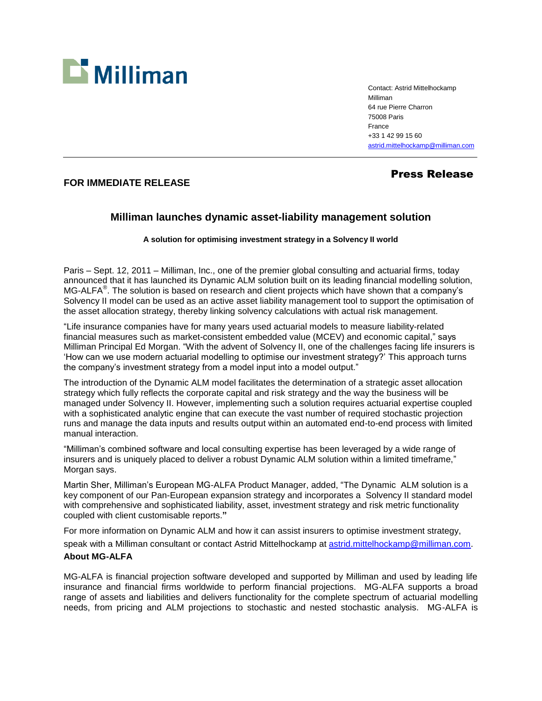

Contact: Astrid Mittelhockamp Milliman 64 rue Pierre Charron 75008 Paris France +33 1 42 99 15 60 [astrid.mittelhockamp@milliman.com](mailto:astrid.mittelhockamp@milliman.com)

## Press Release

## **FOR IMMEDIATE RELEASE**

## **Milliman launches dynamic asset-liability management solution**

**A solution for optimising investment strategy in a Solvency II world**

Paris – Sept. 12, 2011 – Milliman, Inc., one of the premier global consulting and actuarial firms, today announced that it has launched its Dynamic ALM solution built on its leading financial modelling solution, MG-ALFA<sup>®</sup>. The solution is based on research and client projects which have shown that a company's Solvency II model can be used as an active asset liability management tool to support the optimisation of the asset allocation strategy, thereby linking solvency calculations with actual risk management.

"Life insurance companies have for many years used actuarial models to measure liability-related financial measures such as market-consistent embedded value (MCEV) and economic capital," says Milliman Principal Ed Morgan. "With the advent of Solvency II, one of the challenges facing life insurers is 'How can we use modern actuarial modelling to optimise our investment strategy?' This approach turns the company's investment strategy from a model input into a model output."

The introduction of the Dynamic ALM model facilitates the determination of a strategic asset allocation strategy which fully reflects the corporate capital and risk strategy and the way the business will be managed under Solvency II. However, implementing such a solution requires actuarial expertise coupled with a sophisticated analytic engine that can execute the vast number of required stochastic projection runs and manage the data inputs and results output within an automated end-to-end process with limited manual interaction.

"Milliman's combined software and local consulting expertise has been leveraged by a wide range of insurers and is uniquely placed to deliver a robust Dynamic ALM solution within a limited timeframe," Morgan says.

Martin Sher, Milliman's European MG-ALFA Product Manager, added, "The Dynamic ALM solution is a key component of our Pan-European expansion strategy and incorporates a Solvency II standard model with comprehensive and sophisticated liability, asset, investment strategy and risk metric functionality coupled with client customisable reports.**"**

For more information on Dynamic ALM and how it can assist insurers to optimise investment strategy, speak with a Milliman consultant or contact Astrid Mittelhockamp at [astrid.mittelhockamp@milliman.com.](mailto:astrid.mittelhockamp@milliman.com) **About MG-ALFA**

MG-ALFA is financial projection software developed and supported by Milliman and used by leading life insurance and financial firms worldwide to perform financial projections. MG-ALFA supports a broad range of assets and liabilities and delivers functionality for the complete spectrum of actuarial modelling needs, from pricing and ALM projections to stochastic and nested stochastic analysis. MG-ALFA is